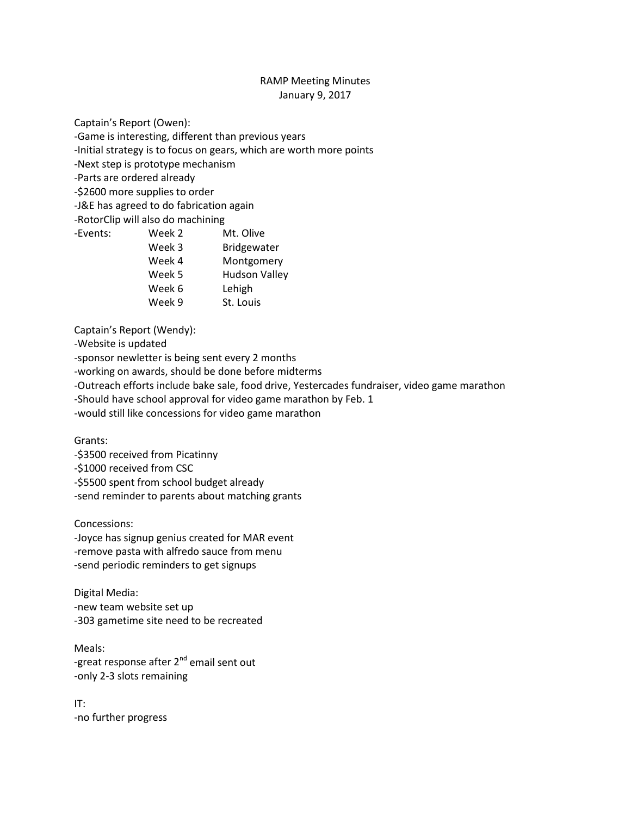## RAMP Meeting Minutes January 9, 2017

Captain's Report (Owen):

-Game is interesting, different than previous years

-Initial strategy is to focus on gears, which are worth more points

-Next step is prototype mechanism

-Parts are ordered already

-\$2600 more supplies to order

-J&E has agreed to do fabrication again

-RotorClip will also do machining

- -Events: Week 2 Mt. Olive
	- Week 3 Bridgewater
	- Week 4 Montgomery
	- Week 5 Hudson Valley
	- Week 6 Lehigh
	- Week 9 St. Louis

Captain's Report (Wendy):

-Website is updated

-sponsor newletter is being sent every 2 months

-working on awards, should be done before midterms

-Outreach efforts include bake sale, food drive, Yestercades fundraiser, video game marathon

-Should have school approval for video game marathon by Feb. 1

-would still like concessions for video game marathon

Grants:

-\$3500 received from Picatinny

-\$1000 received from CSC

-\$5500 spent from school budget already

-send reminder to parents about matching grants

Concessions:

-Joyce has signup genius created for MAR event -remove pasta with alfredo sauce from menu -send periodic reminders to get signups

Digital Media: -new team website set up -303 gametime site need to be recreated

Meals: -great response after 2<sup>nd</sup> email sent out -only 2-3 slots remaining

IT: -no further progress